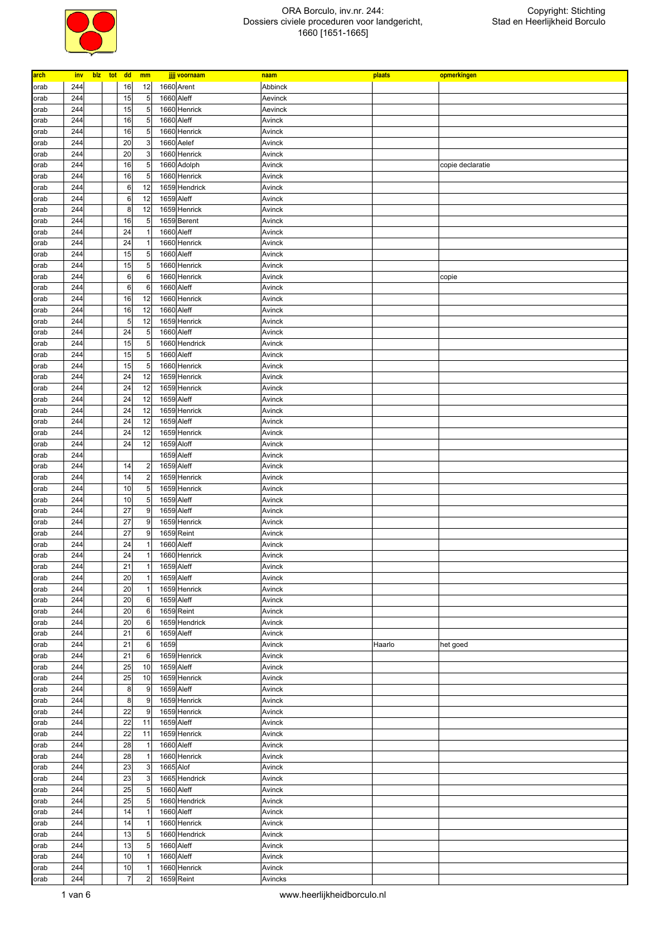

| arch         | inv        | blz tot dd |                 | mm                           | jjjj voornaam                | naam             | plaats | opmerkingen      |
|--------------|------------|------------|-----------------|------------------------------|------------------------------|------------------|--------|------------------|
| orab         | 244        |            | 16              | 12                           | 1660 Arent                   | Abbinck          |        |                  |
| orab         | 244        |            | 15              | 5                            | 1660 Aleff                   | Aevinck          |        |                  |
| orab         | 244        |            | 15              | 5                            | 1660 Henrick                 | Aevinck          |        |                  |
| orab         | 244        |            | 16              | 5                            | 1660 Aleff                   | Avinck           |        |                  |
| orab         | 244        |            | 16              | 5                            | 1660 Henrick                 | Avinck           |        |                  |
| orab         | 244        |            | 20              | 3                            | 1660 Aelef                   | Avinck           |        |                  |
| orab         | 244        |            | 20              | 3                            | 1660 Henrick                 | Avinck           |        |                  |
| orab         | 244        |            | 16              | 5                            | 1660 Adolph                  | Avinck           |        | copie declaratie |
| orab         | 244        |            | 16              | 5                            | 1660 Henrick                 | Avinck           |        |                  |
| orab         | 244        |            | $\,6$           | 12                           | 1659 Hendrick                | Avinck           |        |                  |
| orab         | 244        |            | $6\phantom{.}6$ | 12                           | 1659 Aleff                   | Avinck           |        |                  |
| orab         | 244        |            | 8               | 12                           | 1659 Henrick                 | Avinck           |        |                  |
| orab         | 244        |            | 16              | 5                            | 1659 Berent                  | Avinck           |        |                  |
| orab         | 244        |            | 24              | $\mathbf{1}$                 | 1660 Aleff                   | Avinck           |        |                  |
| orab         | 244        |            | 24              | $\mathbf{1}$                 | 1660 Henrick                 | Avinck           |        |                  |
| orab         | 244        |            | 15              | 5                            | 1660 Aleff                   | Avinck           |        |                  |
| orab         | 244<br>244 |            | 15<br>$\,6$     | 5<br>$\boldsymbol{6}$        | 1660 Henrick<br>1660 Henrick | Avinck           |        |                  |
| orab<br>orab | 244        |            | $6\phantom{1}6$ | 6                            | 1660 Aleff                   | Avinck<br>Avinck |        | copie            |
| orab         | 244        |            | 16              | 12                           | 1660 Henrick                 | Avinck           |        |                  |
| orab         | 244        |            | 16              | 12                           | 1660 Aleff                   | Avinck           |        |                  |
| orab         | 244        |            | 5               | 12                           | 1659 Henrick                 | Avinck           |        |                  |
| orab         | 244        |            | 24              | 5                            | 1660 Aleff                   | Avinck           |        |                  |
| orab         | 244        |            | 15              | 5                            | 1660 Hendrick                | Avinck           |        |                  |
| orab         | 244        |            | 15              | 5                            | 1660 Aleff                   | Avinck           |        |                  |
| orab         | 244        |            | 15              | 5                            | 1660 Henrick                 | Avinck           |        |                  |
| orab         | 244        |            | 24              | 12                           | 1659 Henrick                 | Avinck           |        |                  |
| orab         | 244        |            | 24              | 12                           | 1659 Henrick                 | Avinck           |        |                  |
| orab         | 244        |            | 24              | 12                           | 1659 Aleff                   | Avinck           |        |                  |
| orab         | 244        |            | 24              | 12                           | 1659 Henrick                 | Avinck           |        |                  |
| orab         | 244        |            | 24              | 12                           | 1659 Aleff                   | Avinck           |        |                  |
| orab         | 244        |            | 24              | 12                           | 1659 Henrick                 | Avinck           |        |                  |
| orab         | 244        |            | 24              | 12                           | 1659 Aloff                   | Avinck           |        |                  |
| orab         | 244        |            |                 |                              | 1659 Aleff                   | Avinck           |        |                  |
| orab         | 244        |            | 14              | $\overline{\mathbf{c}}$      | 1659 Aleff                   | Avinck           |        |                  |
| orab         | 244        |            | 14              | $\overline{\mathbf{c}}$      | 1659 Henrick                 | Avinck           |        |                  |
| orab         | 244        |            | 10              | 5                            | 1659 Henrick                 | Avinck           |        |                  |
| orab         | 244        |            | 10              | 5                            | 1659 Aleff                   | Avinck           |        |                  |
| orab         | 244        |            | 27              | 9                            | 1659 Aleff                   | Avinck           |        |                  |
| orab         | 244        |            | 27              | 9                            | 1659 Henrick                 | Avinck           |        |                  |
| orab         | 244        |            | 27              | 9                            | 1659 Reint                   | Avinck           |        |                  |
| orab         | 244        |            | 24              | $\mathbf{1}$                 | 1660 Aleff                   | Avinck           |        |                  |
| orab         | 244<br>244 |            | 24<br>21        | $\mathbf{1}$<br>$\mathbf{1}$ | 1660 Henrick                 | Avinck           |        |                  |
| orab<br>orab | 244        |            | 20              | 1                            | 1659 Aleff<br>1659 Aleff     | Avinck<br>Avinck |        |                  |
| orab         | 244        |            | 20              | $\mathbf{1}$                 | 1659 Henrick                 | Avinck           |        |                  |
| orab         | 244        |            | 20              | 6                            | 1659 Aleff                   | Avinck           |        |                  |
| orab         | 244        |            | 20              | 6                            | 1659 Reint                   | Avinck           |        |                  |
| orab         | 244        |            | 20              | 6                            | 1659 Hendrick                | Avinck           |        |                  |
| orab         | 244        |            | 21              | 6                            | 1659 Aleff                   | Avinck           |        |                  |
| orab         | 244        |            | 21              | 6                            | 1659                         | Avinck           | Haarlo | het goed         |
| orab         | 244        |            | 21              | $6\phantom{1}6$              | 1659 Henrick                 | Avinck           |        |                  |
| orab         | 244        |            | 25              | 10                           | 1659 Aleff                   | Avinck           |        |                  |
| orab         | 244        |            | 25              | 10                           | 1659 Henrick                 | Avinck           |        |                  |
| orab         | 244        |            | 8               | 9                            | 1659 Aleff                   | Avinck           |        |                  |
| orab         | 244        |            | 8               | 9                            | 1659 Henrick                 | Avinck           |        |                  |
| orab         | 244        |            | 22              | 9                            | 1659 Henrick                 | Avinck           |        |                  |
| orab         | 244        |            | 22              | 11                           | 1659 Aleff                   | Avinck           |        |                  |
| orab         | 244        |            | 22              | 11                           | 1659 Henrick                 | Avinck           |        |                  |
| orab         | 244        |            | 28              | $\mathbf{1}$                 | 1660 Aleff                   | Avinck           |        |                  |
| orab         | 244        |            | 28              | $\mathbf{1}$                 | 1660 Henrick                 | Avinck           |        |                  |
| orab         | 244        |            | 23              | 3                            | 1665 Alof                    | Avinck           |        |                  |
| orab         | 244        |            | 23              | 3                            | 1665 Hendrick                | Avinck           |        |                  |
| orab         | 244        |            | 25              | 5                            | 1660 Aleff                   | Avinck           |        |                  |
| orab         | 244        |            | 25              | 5                            | 1660 Hendrick                | Avinck           |        |                  |
| orab         | 244        |            | 14              | $\mathbf{1}$                 | 1660 Aleff                   | Avinck           |        |                  |
| orab         | 244        |            | 14              | $\mathbf{1}$                 | 1660 Henrick                 | Avinck           |        |                  |
| orab         | 244<br>244 |            | 13<br>13        | 5<br>5                       | 1660 Hendrick<br>1660 Aleff  | Avinck<br>Avinck |        |                  |
| orab<br>orab | 244        |            | 10              | $\mathbf{1}$                 | 1660 Aleff                   | Avinck           |        |                  |
| orab         | 244        |            | 10              | $\mathbf{1}$                 | 1660 Henrick                 | Avinck           |        |                  |
| orab         | 244        |            | $\overline{7}$  | $\overline{2}$               | 1659 Reint                   | Avincks          |        |                  |
|              |            |            |                 |                              |                              |                  |        |                  |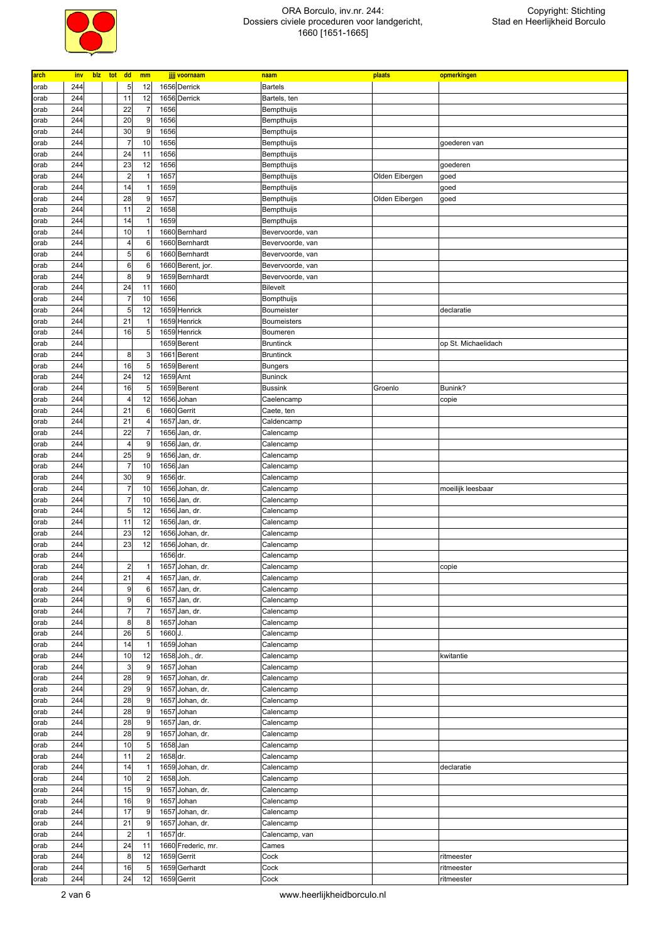

| arch | inv | blz | tot | dd                      | mm                      |          | jjjj voornaam      | naam               | plaats         | opmerkingen         |
|------|-----|-----|-----|-------------------------|-------------------------|----------|--------------------|--------------------|----------------|---------------------|
| orab | 244 |     |     | 5                       | 12                      |          | 1656 Derrick       | <b>Bartels</b>     |                |                     |
| orab | 244 |     |     | 11                      | 12                      |          | 1656 Derrick       | Bartels, ten       |                |                     |
| orab | 244 |     |     | 22                      | $\overline{7}$          | 1656     |                    | Bempthuijs         |                |                     |
| orab | 244 |     |     | 20                      | 9                       | 1656     |                    | Bempthuijs         |                |                     |
| orab | 244 |     |     | 30                      | 9                       | 1656     |                    | Bempthuijs         |                |                     |
| orab | 244 |     |     | $\overline{7}$          | 10                      | 1656     |                    | Bempthuijs         |                | goederen van        |
|      | 244 |     |     | 24                      | 11                      | 1656     |                    |                    |                |                     |
| orab |     |     |     |                         |                         |          |                    | Bempthuijs         |                |                     |
| orab | 244 |     |     | 23                      | 12                      | 1656     |                    | Bempthuijs         |                | goederen            |
| orab | 244 |     |     | $\overline{2}$          | $\overline{1}$          | 1657     |                    | Bempthuijs         | Olden Eibergen | goed                |
| orab | 244 |     |     | 14                      | $\overline{1}$          | 1659     |                    | Bempthuijs         |                | goed                |
| orab | 244 |     |     | 28                      | 9                       | 1657     |                    | Bempthuijs         | Olden Eibergen | goed                |
| orab | 244 |     |     | 11                      | $\overline{\mathbf{c}}$ | 1658     |                    | Bempthuijs         |                |                     |
| orab | 244 |     |     | 14                      | $\overline{1}$          | 1659     |                    | Bempthuijs         |                |                     |
| orab | 244 |     |     | 10                      | -1                      |          | 1660 Bernhard      | Bevervoorde, van   |                |                     |
| orab | 244 |     |     | 4                       | 6                       |          | 1660 Bernhardt     | Bevervoorde, van   |                |                     |
| orab | 244 |     |     | 5                       | 6                       |          | 1660 Bernhardt     | Bevervoorde, van   |                |                     |
| orab | 244 |     |     | 6                       | 6                       |          | 1660 Berent, jor.  | Bevervoorde, van   |                |                     |
| orab | 244 |     |     | 8                       | 9                       |          | 1659 Bernhardt     | Bevervoorde, van   |                |                     |
| orab | 244 |     |     | 24                      | 11                      | 1660     |                    | <b>Bilevelt</b>    |                |                     |
| orab | 244 |     |     | $\overline{7}$          | 10                      | 1656     |                    | Bompthuijs         |                |                     |
| orab | 244 |     |     | 5                       | 12                      |          | 1659 Henrick       | Boumeister         |                | declaratie          |
|      | 244 |     |     | 21                      | -1                      |          | 1659 Henrick       |                    |                |                     |
| orab |     |     |     |                         |                         |          |                    | <b>Boumeisters</b> |                |                     |
| orab | 244 |     |     | 16                      | 5                       |          | 1659 Henrick       | Boumeren           |                |                     |
| orab | 244 |     |     |                         |                         |          | 1659 Berent        | <b>Bruntinck</b>   |                | op St. Michaelidach |
| orab | 244 |     |     | 8                       | 3                       |          | 1661 Berent        | <b>Bruntinck</b>   |                |                     |
| orab | 244 |     |     | 16                      | 5                       |          | 1659 Berent        | <b>Bungers</b>     |                |                     |
| orab | 244 |     |     | 24                      | 12                      |          | 1659 Arnt          | <b>Buninck</b>     |                |                     |
| orab | 244 |     |     | 16                      | 5                       |          | 1659 Berent        | <b>Bussink</b>     | Groenlo        | Bunink?             |
| orab | 244 |     |     | 4                       | 12                      |          | 1656 Johan         | Caelencamp         |                | copie               |
| orab | 244 |     |     | 21                      | 6                       |          | 1660 Gerrit        | Caete, ten         |                |                     |
| orab | 244 |     |     | 21                      | $\overline{4}$          |          | 1657 Jan, dr.      | Caldencamp         |                |                     |
| orab | 244 |     |     | 22                      | $\overline{7}$          |          | 1656 Jan, dr.      | Calencamp          |                |                     |
| orab | 244 |     |     | 4                       | 9                       |          | 1656 Jan, dr.      | Calencamp          |                |                     |
| orab | 244 |     |     | 25                      | 9                       |          | 1656 Jan, dr.      | Calencamp          |                |                     |
| orab | 244 |     |     | $\overline{7}$          | 10                      | 1656 Jan |                    | Calencamp          |                |                     |
|      | 244 |     |     | 30                      | 9                       | 1656 dr. |                    |                    |                |                     |
| orab |     |     |     |                         |                         |          |                    | Calencamp          |                |                     |
|      |     |     |     |                         |                         |          |                    |                    |                |                     |
| orab | 244 |     |     | $\overline{7}$          | 10                      |          | 1656 Johan, dr.    | Calencamp          |                | moeilijk leesbaar   |
| orab | 244 |     |     | $\overline{7}$          | 10                      |          | 1656 Jan, dr.      | Calencamp          |                |                     |
| orab | 244 |     |     | 5                       | 12                      |          | 1656 Jan, dr.      | Calencamp          |                |                     |
| orab | 244 |     |     | 11                      | 12                      |          | 1656 Jan, dr.      | Calencamp          |                |                     |
| orab | 244 |     |     | 23                      | 12                      |          | 1656 Johan, dr.    | Calencamp          |                |                     |
| orab | 244 |     |     | 23                      | 12                      |          | 1656 Johan, dr.    | Calencamp          |                |                     |
| orab | 244 |     |     |                         |                         | 1656 dr. |                    | Calencamp          |                |                     |
| orab | 244 |     |     | $\overline{2}$          | 1                       |          | 1657 Johan, dr.    | Calencamp          |                | copie               |
| orab | 244 |     |     | 21                      | 4                       |          | 1657 Jan, dr.      | Calencamp          |                |                     |
|      |     |     |     | 9                       |                         |          |                    |                    |                |                     |
| orab | 244 |     |     |                         | $\,6\,$                 |          | 1657 Jan, dr.      | Calencamp          |                |                     |
| orab | 244 |     |     | 9                       | 6                       |          | 1657 Jan, dr.      | Calencamp          |                |                     |
| orab | 244 |     |     | $\overline{7}$          | $\overline{7}$          |          | 1657 Jan, dr.      | Calencamp          |                |                     |
| orab | 244 |     |     | 8                       | 8                       |          | 1657 Johan         | Calencamp          |                |                     |
| orab | 244 |     |     | 26                      | 5                       | 1660 J.  |                    | Calencamp          |                |                     |
| orab | 244 |     |     | 14                      | $\overline{1}$          |          | 1659 Johan         | Calencamp          |                |                     |
| orab | 244 |     |     | 10                      | 12                      |          | 1658 Joh., dr.     | Calencamp          |                | kwitantie           |
| orab | 244 |     |     | 3                       | 9                       |          | 1657 Johan         | Calencamp          |                |                     |
| orab | 244 |     |     | 28                      | 9                       |          | 1657 Johan, dr.    | Calencamp          |                |                     |
| orab | 244 |     |     | 29                      | 9                       |          | 1657 Johan, dr.    | Calencamp          |                |                     |
| orab | 244 |     |     | 28                      | 9                       |          | 1657 Johan, dr.    | Calencamp          |                |                     |
| orab | 244 |     |     | 28                      | 9                       |          | 1657 Johan         | Calencamp          |                |                     |
| orab | 244 |     |     | 28                      | 9                       |          | 1657 Jan, dr.      | Calencamp          |                |                     |
| orab | 244 |     |     | 28                      | 9                       |          | 1657 Johan, dr.    | Calencamp          |                |                     |
|      |     |     |     |                         |                         |          |                    |                    |                |                     |
| orab | 244 |     |     | 10                      | 5                       | 1658 Jan |                    | Calencamp          |                |                     |
| orab | 244 |     |     | 11                      | $\overline{\mathbf{c}}$ | 1658 dr. |                    | Calencamp          |                |                     |
| orab | 244 |     |     | 14                      | $\overline{1}$          |          | 1659 Johan, dr.    | Calencamp          |                | declaratie          |
| orab | 244 |     |     | 10                      | $\overline{\mathbf{c}}$ |          | 1658 Joh.          | Calencamp          |                |                     |
| orab | 244 |     |     | 15                      | 9                       |          | 1657 Johan, dr.    | Calencamp          |                |                     |
| orab | 244 |     |     | 16                      | 9                       |          | 1657 Johan         | Calencamp          |                |                     |
| orab | 244 |     |     | 17                      | 9                       |          | 1657 Johan, dr.    | Calencamp          |                |                     |
| orab | 244 |     |     | 21                      | 9                       |          | 1657 Johan, dr.    | Calencamp          |                |                     |
| orab | 244 |     |     | $\overline{\mathbf{c}}$ | $\overline{1}$          | 1657 dr. |                    | Calencamp, van     |                |                     |
| orab | 244 |     |     | 24                      | 11                      |          | 1660 Frederic, mr. | Cames              |                |                     |
| orab | 244 |     |     | 8                       | 12                      |          | 1659 Gerrit        | Cock               |                | ritmeester          |
| orab | 244 |     |     | 16                      | 5                       |          | 1659 Gerhardt      | Cock               |                | ritmeester          |
| orab | 244 |     |     | 24                      | 12                      |          | 1659 Gerrit        | Cock               |                | ritmeester          |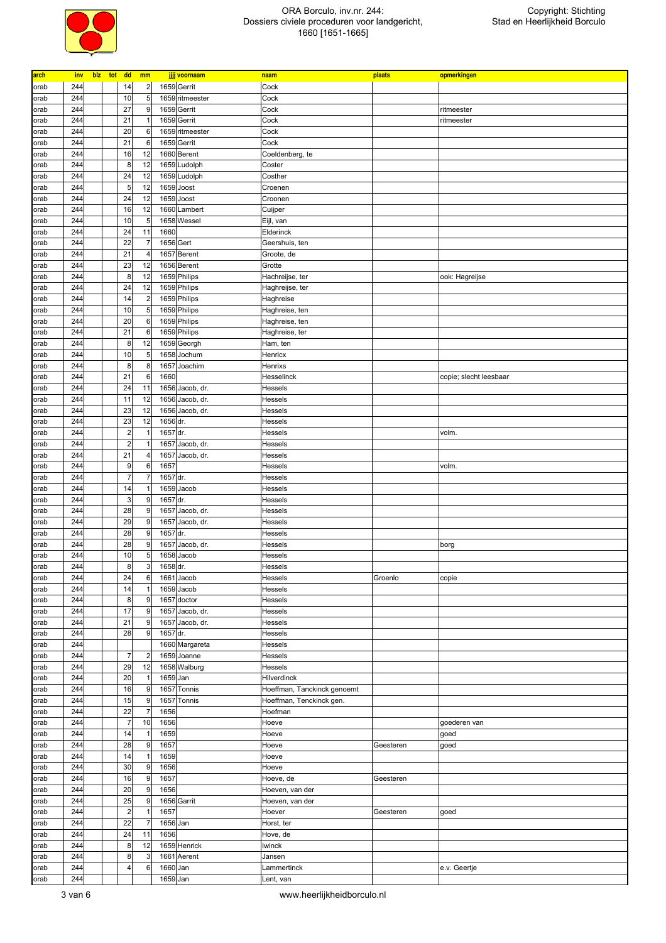

| arch         | inv        | blz tot | dd                      | mm                      |              | jjjj voornaam               | naam                        | plaats    | opmerkingen            |
|--------------|------------|---------|-------------------------|-------------------------|--------------|-----------------------------|-----------------------------|-----------|------------------------|
| orab         | 244        |         | 14                      | $\overline{c}$          |              | 1659 Gerrit                 | Cock                        |           |                        |
| orab         | 244        |         | 10                      | 5                       |              | 1659 ritmeester             | Cock                        |           |                        |
| orab         | 244        |         | 27                      | 9                       |              | 1659 Gerrit                 | Cock                        |           | ritmeester             |
| orab         | 244        |         | 21                      | $\overline{1}$          |              | 1659 Gerrit                 | Cock                        |           | ritmeester             |
| orab         | 244        |         | 20                      | 6                       |              | 1659 ritmeester             | Cock                        |           |                        |
| orab         | 244        |         | 21                      | 6                       |              | 1659 Gerrit                 | Cock                        |           |                        |
| orab         | 244        |         | 16                      | 12                      |              | 1660 Berent                 | Coeldenberg, te             |           |                        |
| orab         | 244        |         | 8                       | 12                      |              | 1659 Ludolph                | Coster                      |           |                        |
| orab         | 244        |         | 24                      | 12                      |              | 1659 Ludolph                | Costher                     |           |                        |
| orab         | 244        |         | 5                       | 12                      |              | 1659 Joost                  | Croenen                     |           |                        |
| orab         | 244        |         | 24                      | 12                      |              | 1659 Joost                  | Croonen                     |           |                        |
| orab         | 244        |         | 16                      | 12                      |              | 1660 Lambert<br>1658 Wessel | Cuijper                     |           |                        |
| orab<br>orab | 244<br>244 |         | 10<br>24                | 5<br>11                 | 1660         |                             | Eijl, van<br>Elderinck      |           |                        |
| orab         | 244        |         | 22                      | 7                       |              | 1656 Gert                   | Geershuis, ten              |           |                        |
| orab         | 244        |         | 21                      | $\overline{4}$          |              | 1657 Berent                 | Groote, de                  |           |                        |
| orab         | 244        |         | 23                      | 12                      |              | 1656 Berent                 | Grotte                      |           |                        |
| orab         | 244        |         | 8                       | 12                      |              | 1659 Philips                | Hachreijse, ter             |           | ook: Hagreijse         |
| orab         | 244        |         | 24                      | 12                      |              | 1659 Philips                | Haghreijse, ter             |           |                        |
| orab         | 244        |         | 14                      | $\overline{c}$          |              | 1659 Philips                | Haghreise                   |           |                        |
| orab         | 244        |         | 10                      | 5                       |              | 1659 Philips                | Haghreise, ten              |           |                        |
| orab         | 244        |         | 20                      | 6                       |              | 1659 Philips                | Haghreise, ten              |           |                        |
| orab         | 244        |         | 21                      | 6                       |              | 1659 Philips                | Haghreise, ter              |           |                        |
| orab         | 244        |         | 8                       | 12                      |              | 1659 Georgh                 | Ham, ten                    |           |                        |
| orab         | 244        |         | 10                      | 5                       |              | 1658 Jochum                 | Henricx                     |           |                        |
| orab         | 244        |         | 8                       | 8                       |              | 1657 Joachim                | Henrixs                     |           |                        |
| orab         | 244        |         | 21                      | $\,6\,$                 | 1660         |                             | Hesselinck                  |           | copie; slecht leesbaar |
| orab         | 244        |         | 24                      | 11                      |              | 1656 Jacob, dr.             | Hessels                     |           |                        |
| orab         | 244<br>244 |         | 11<br>23                | 12<br>12                |              | 1656 Jacob, dr.             | Hessels                     |           |                        |
| orab         | 244        |         | 23                      | 12                      | 1656 dr.     | 1656 Jacob, dr.             | Hessels<br>Hessels          |           |                        |
| orab<br>orab | 244        |         | $\overline{\mathbf{c}}$ | $\overline{1}$          | 1657 dr.     |                             | Hessels                     |           | volm.                  |
| orab         | 244        |         | $\overline{2}$          | $\overline{1}$          |              | 1657 Jacob, dr.             | Hessels                     |           |                        |
| orab         | 244        |         | 21                      | $\overline{4}$          |              | 1657 Jacob, dr.             | Hessels                     |           |                        |
| orab         | 244        |         | 9                       | 6                       | 1657         |                             | Hessels                     |           | volm.                  |
| orab         | 244        |         | $\overline{7}$          | $\overline{7}$          | 1657 dr.     |                             | Hessels                     |           |                        |
| orab         | 244        |         | 14                      |                         |              | 1659 Jacob                  | Hessels                     |           |                        |
| orab         | 244        |         | 3                       | 9                       | 1657 dr.     |                             | Hessels                     |           |                        |
| orab         | 244        |         | 28                      | 9                       |              | 1657 Jacob, dr.             | Hessels                     |           |                        |
| orab         | 244        |         | 29                      | 9                       |              | 1657 Jacob, dr.             | Hessels                     |           |                        |
| orab         | 244        |         | 28                      | 9                       | 1657 dr.     |                             | Hessels                     |           |                        |
| orab         | 244        |         | 28                      | 9                       |              | 1657 Jacob, dr.             | Hessels                     |           | borg                   |
| orab         | 244        |         | 10                      | 5                       |              | 1658 Jacob                  | Hessels                     |           |                        |
| orab         | 244        |         | 8<br>24                 | 3                       | 1658 dr.     |                             | Hessels                     |           |                        |
| orab         | 244<br>244 |         | 14                      | 6<br>$\overline{1}$     |              | 1661 Jacob<br>1659 Jacob    | Hessels<br>Hessels          | Groenlo   | copie                  |
| orab<br>orab | 244        |         | 8                       | 9                       |              | 1657 doctor                 | Hessels                     |           |                        |
| orab         | 244        |         | 17                      | 9                       |              | 1657 Jacob, dr.             | Hessels                     |           |                        |
| orab         | 244        |         | 21                      | 9                       |              | 1657 Jacob, dr.             | Hessels                     |           |                        |
| orab         | 244        |         | 28                      | 9                       | 1657 dr.     |                             | Hessels                     |           |                        |
| orab         | 244        |         |                         |                         |              | 1660 Margareta              | Hessels                     |           |                        |
| orab         | 244        |         | $\overline{7}$          | $\overline{\mathbf{c}}$ |              | 1659 Joanne                 | Hessels                     |           |                        |
| orab         | 244        |         | 29                      | 12                      |              | 1658 Walburg                | Hessels                     |           |                        |
| orab         | 244        |         | 20                      | $\overline{1}$          | 1659 Jan     |                             | Hilverdinck                 |           |                        |
| orab         | 244        |         | 16                      | 9                       |              | 1657 Tonnis                 | Hoeffman, Tanckinck genoemt |           |                        |
| orab         | 244        |         | 15                      | 9                       | 1657         | Tonnis                      | Hoeffman, Tenckinck gen.    |           |                        |
| orab         | 244        |         | 22                      | $\overline{7}$          | 1656         |                             | Hoefman                     |           |                        |
| orab         | 244        |         | $\overline{7}$          | 10                      | 1656         |                             | Hoeve                       |           | goederen van           |
| orab         | 244        |         | 14                      | $\overline{1}$          | 1659         |                             | Hoeve                       |           | goed                   |
| orab         | 244<br>244 |         | 28<br>14                | 9<br>$\overline{1}$     | 1657         |                             | Hoeve                       | Geesteren | goed                   |
| orab<br>orab | 244        |         | 30                      | 9                       | 1659<br>1656 |                             | Hoeve<br>Hoeve              |           |                        |
| orab         | 244        |         | 16                      | 9                       | 1657         |                             | Hoeve, de                   | Geesteren |                        |
| orab         | 244        |         | 20                      | 9                       | 1656         |                             | Hoeven, van der             |           |                        |
| orab         | 244        |         | 25                      | 9                       |              | 1656 Garrit                 | Hoeven, van der             |           |                        |
| orab         | 244        |         | $\overline{\mathbf{c}}$ | $\overline{1}$          | 1657         |                             | Hoever                      | Geesteren | goed                   |
| orab         | 244        |         | 22                      | $\overline{7}$          | 1656 Jan     |                             | Horst, ter                  |           |                        |
| orab         | 244        |         | 24                      | 11                      | 1656         |                             | Hove, de                    |           |                        |
| orab         | 244        |         | 8                       | 12                      |              | 1659 Henrick                | <b>Iwinck</b>               |           |                        |
| orab         | 244        |         | 8                       | 3                       |              | 1661 Aerent                 | Jansen                      |           |                        |
| orab         | 244        |         | 4                       | 6                       | 1660 Jan     |                             | Lammertinck                 |           | e.v. Geertje           |
| orab         | 244        |         |                         |                         | 1659 Jan     |                             | Lent, van                   |           |                        |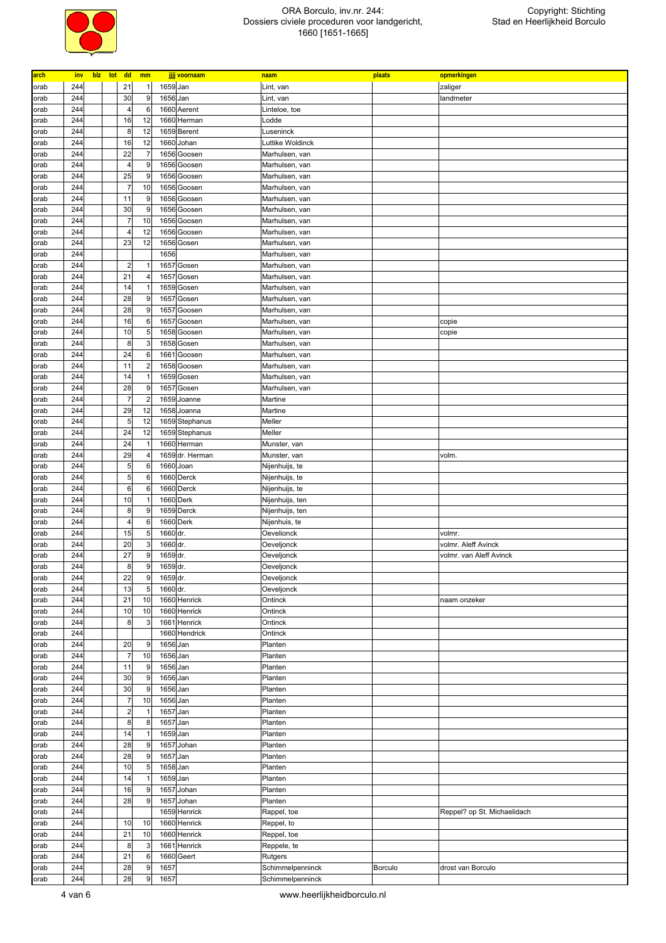

| arch | inv | blz tot | <b>dd</b>               | mm             |          | jjjj voornaam                    | naam                   | plaats  | opmerkingen                 |
|------|-----|---------|-------------------------|----------------|----------|----------------------------------|------------------------|---------|-----------------------------|
| orab | 244 |         | 21                      | $\mathbf{1}$   | 1659 Jan |                                  | Lint, van              |         | zaliger                     |
| orab | 244 |         | 30                      | 9              | 1656 Jan |                                  | Lint, van              |         | landmeter                   |
|      | 244 |         | $\overline{4}$          | 6              |          | 1660 Aerent                      |                        |         |                             |
| orab | 244 |         | 16                      | 12             |          | 1660 Herman                      | Linteloe, toe<br>Lodde |         |                             |
| orab |     |         |                         |                |          |                                  |                        |         |                             |
| orab | 244 |         | 8                       | 12             |          | 1659 Berent                      | Luseninck              |         |                             |
| orab | 244 |         | 16                      | 12             |          | 1660 Johan                       | Luttike Woldinck       |         |                             |
| orab | 244 |         | 22                      | $\overline{7}$ |          | 1656 Goosen                      | Marhulsen, van         |         |                             |
| orab | 244 |         | $\overline{4}$          | g              |          | 1656 Goosen                      | Marhulsen, van         |         |                             |
| orab | 244 |         | 25                      | 9              |          | 1656 Goosen                      | Marhulsen, van         |         |                             |
| orab | 244 |         | $\overline{7}$          | 10             |          | 1656 Goosen                      | Marhulsen, van         |         |                             |
| orab | 244 |         | 11                      | 9              |          | 1656 Goosen                      | Marhulsen, van         |         |                             |
| orab | 244 |         | 30                      | 9              |          | 1656 Goosen                      | Marhulsen, van         |         |                             |
| orab | 244 |         | $\overline{7}$          | 10             |          | 1656 Goosen                      | Marhulsen, van         |         |                             |
| orab | 244 |         | $\overline{4}$          | 12             |          | 1656 Goosen                      | Marhulsen, van         |         |                             |
| orab | 244 |         | 23                      | 12             |          | 1656 Gosen                       | Marhulsen, van         |         |                             |
| orab | 244 |         |                         |                | 1656     |                                  | Marhulsen, van         |         |                             |
| orab | 244 |         | $\overline{\mathbf{c}}$ |                | 1657     | Gosen                            | Marhulsen, van         |         |                             |
| orab | 244 |         | 21                      | $\overline{4}$ |          | 1657 Gosen                       | Marhulsen, van         |         |                             |
| orab | 244 |         | 14                      | -1             |          | 1659 Gosen                       | Marhulsen, van         |         |                             |
| orab | 244 |         | 28                      | 9              |          | 1657 Gosen                       | Marhulsen, van         |         |                             |
| orab | 244 |         | 28                      | g              | 1657     | Goosen                           | Marhulsen, van         |         |                             |
| orab | 244 |         | 16                      | $6\phantom{a}$ |          | 1657 Goosen                      | Marhulsen, van         |         | copie                       |
| orab | 244 |         | 10                      | 5              |          | 1658 Goosen                      | Marhulsen, van         |         | copie                       |
| orab | 244 |         | 8                       | 3              |          | 1658 Gosen                       | Marhulsen, van         |         |                             |
| orab | 244 |         | 24                      | $6\phantom{a}$ |          | 1661 Goosen                      | Marhulsen, van         |         |                             |
| orab | 244 |         | 11                      | $\overline{2}$ |          | 1658 Goosen                      | Marhulsen, van         |         |                             |
| orab | 244 |         | 14                      | $\overline{1}$ |          | 1659 Gosen                       | Marhulsen, van         |         |                             |
| orab | 244 |         | 28                      | 9              |          | 1657 Gosen                       | Marhulsen, van         |         |                             |
| orab | 244 |         | $\overline{7}$          | $\overline{c}$ |          | 1659 Joanne                      | Martine                |         |                             |
| orab | 244 |         | 29                      | 12             |          | 1658 Joanna                      | Martine                |         |                             |
|      | 244 |         | 5                       | 12             |          |                                  | Meller                 |         |                             |
| orab | 244 |         | 24                      | 12             |          | 1659 Stephanus<br>1659 Stephanus | Meller                 |         |                             |
| orab |     |         |                         |                |          |                                  |                        |         |                             |
| orab | 244 |         | 24                      | -1             |          | 1660 Herman                      | Munster, van           |         |                             |
| orab | 244 |         | 29                      | $\overline{4}$ |          | 1659 dr. Herman                  | Munster, van           |         | volm.                       |
| orab | 244 |         | 5                       | 6              |          | 1660 Joan                        | Nijenhuijs, te         |         |                             |
| orab | 244 |         | 5                       | 6              |          | 1660 Derck                       | Nijenhuijs, te         |         |                             |
| orab | 244 |         | $\,6$                   | 6              |          | 1660 Derck                       | Nijenhuijs, te         |         |                             |
| orab | 244 |         | 10                      | -1             |          | 1660 Derk                        | Nijenhuijs, ten        |         |                             |
| orab | 244 |         | 8                       | 9              |          | 1659 Derck                       | Nijenhuijs, ten        |         |                             |
| orab | 244 |         | 4                       | 6              |          | 1660 Derk                        | Nijenhuis, te          |         |                             |
| orab | 244 |         | 15                      | 5              | 1660 dr. |                                  | Oevelionck             |         | volmr.                      |
| orab | 244 |         | 20                      | 3              | 1660 dr. |                                  | Oeveljonck             |         | volmr. Aleff Avinck         |
| orab | 244 |         | 27                      | 9              | 1659 dr. |                                  | Oeveljonck             |         | volmr. van Aleff Avinck     |
| orab | 244 |         | 8                       | 9              | 1659 dr. |                                  | Oeveljonck             |         |                             |
| orab | 244 |         | 22                      | 9              | 1659 dr. |                                  | Oeveljonck             |         |                             |
| orab | 244 |         | 13                      | 5              | 1660 dr. |                                  | Oeveljonck             |         |                             |
| orab | 244 |         | 21                      | 10             |          | 1660 Henrick                     | Ontinck                |         | naam onzeker                |
| orab | 244 |         | 10                      | 10             |          | 1660 Henrick                     | Ontinck                |         |                             |
| orab | 244 |         | 8                       | 3              |          | 1661 Henrick                     | Ontinck                |         |                             |
| orab | 244 |         |                         |                |          | 1660 Hendrick                    | Ontinck                |         |                             |
| orab | 244 |         | 20                      | 9              | 1656 Jan |                                  | Planten                |         |                             |
| orab | 244 |         | $\overline{7}$          | 10             | 1656 Jan |                                  | Planten                |         |                             |
| orab | 244 |         | 11                      | 9              | 1656 Jan |                                  | Planten                |         |                             |
| orab | 244 |         | 30                      | 9              | 1656 Jan |                                  | Planten                |         |                             |
| orab | 244 |         | 30                      | 9              | 1656 Jan |                                  | Planten                |         |                             |
| orab | 244 |         | $\overline{7}$          | 10             | 1656 Jan |                                  | Planten                |         |                             |
| orab | 244 |         | $\overline{a}$          | $\overline{1}$ | 1657 Jan |                                  | Planten                |         |                             |
| orab | 244 |         | 8                       | 8              | 1657 Jan |                                  | Planten                |         |                             |
| orab | 244 |         | 14                      | $\overline{1}$ | 1659 Jan |                                  | Planten                |         |                             |
| orab | 244 |         | 28                      | 9              | 1657     | Johan                            | Planten                |         |                             |
|      | 244 |         | 28                      | 9              | 1657 Jan |                                  | Planten                |         |                             |
| orab | 244 |         | 10                      | 5              | 1658 Jan |                                  | Planten                |         |                             |
| orab |     |         |                         | $\overline{1}$ |          |                                  |                        |         |                             |
| orab | 244 |         | 14                      |                | 1659 Jan |                                  | Planten                |         |                             |
| orab | 244 |         | 16                      | 9              |          | 1657 Johan                       | Planten                |         |                             |
| orab | 244 |         | 28                      | 9              |          | 1657 Johan                       | Planten                |         |                             |
| orab | 244 |         |                         |                |          | 1659 Henrick                     | Rappel, toe            |         | Reppel? op St. Michaelidach |
| orab | 244 |         | 10                      | 10             |          | 1660 Henrick                     | Reppel, to             |         |                             |
| orab | 244 |         | 21                      | 10             |          | 1660 Henrick                     | Reppel, toe            |         |                             |
| orab | 244 |         | 8                       | 3              |          | 1661 Henrick                     | Reppele, te            |         |                             |
| orab | 244 |         | 21                      | 6              |          | 1660 Geert                       | Rutgers                |         |                             |
| orab | 244 |         | 28                      | 9              | 1657     |                                  | Schimmelpenninck       | Borculo | drost van Borculo           |
| orab | 244 |         | 28                      | 9              | 1657     |                                  | Schimmelpenninck       |         |                             |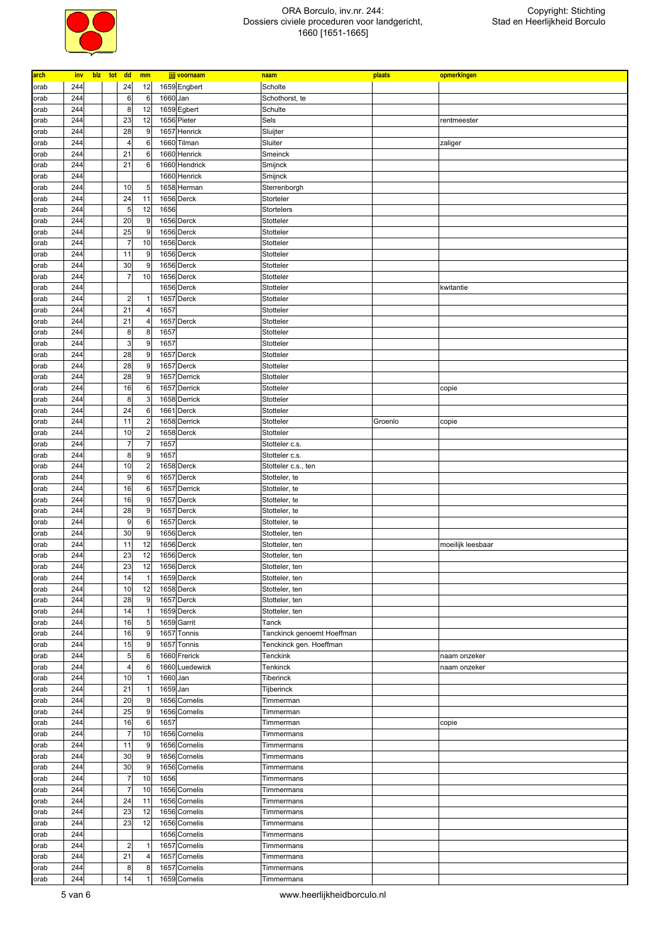

| arch | inv | blz | tot | dd                   | mm             |                      | jjjj voornaam  | naam                       | plaats  | opmerkingen       |
|------|-----|-----|-----|----------------------|----------------|----------------------|----------------|----------------------------|---------|-------------------|
| orab | 244 |     |     | 24                   | 12             |                      | 1659 Engbert   | Scholte                    |         |                   |
| orab | 244 |     |     | $6\phantom{1}6$      | 6              | 1660 Jan             |                | Schothorst, te             |         |                   |
| orab | 244 |     |     | 8                    | 12             |                      | 1659 Egbert    | Schulte                    |         |                   |
| orab | 244 |     |     | 23                   | 12             |                      | 1656 Pieter    | Sels                       |         | rentmeester       |
| orab | 244 |     |     | 28                   | 9              |                      | 1657 Henrick   | Sluijter                   |         |                   |
| orab | 244 |     |     | $\overline{4}$       | 6              |                      | 1660 Tilman    | Sluiter                    |         | zaliger           |
| orab | 244 |     |     | 21                   | 6              |                      | 1660 Henrick   | Smeinck                    |         |                   |
| orab | 244 |     |     | 21                   | 6              |                      | 1660 Hendrick  | Smijnck                    |         |                   |
| orab | 244 |     |     |                      |                |                      | 1660 Henrick   | Smijnck                    |         |                   |
| orab | 244 |     |     | 10                   | 5              |                      | 1658 Herman    | Sterrenborgh               |         |                   |
| orab | 244 |     |     | 24                   | 11             |                      | 1656 Derck     | Storteler                  |         |                   |
| orab | 244 |     |     | 5                    | 12             | 1656                 |                | Stortelers                 |         |                   |
| orab | 244 |     |     | 20                   | 9              |                      | 1656 Derck     | Stotteler                  |         |                   |
|      | 244 |     |     | 25                   | 9              |                      | 1656 Derck     | Stotteler                  |         |                   |
| orab | 244 |     |     | $\overline{7}$       | 10             |                      | 1656 Derck     | Stotteler                  |         |                   |
| orab | 244 |     |     | 11                   |                |                      |                |                            |         |                   |
| orab |     |     |     |                      | 9              |                      | 1656 Derck     | Stotteler                  |         |                   |
| orab | 244 |     |     | 30<br>$\overline{7}$ | 9<br>10        |                      | 1656 Derck     | Stotteler                  |         |                   |
| orab | 244 |     |     |                      |                |                      | 1656 Derck     | Stotteler                  |         |                   |
| orab | 244 |     |     |                      |                |                      | 1656 Derck     | Stotteler                  |         | kwitantie         |
| orab | 244 |     |     | $\overline{2}$       |                |                      | 1657 Derck     | Stotteler                  |         |                   |
| orab | 244 |     |     | 21                   | 4              | 1657                 |                | Stotteler                  |         |                   |
| orab | 244 |     |     | 21                   | $\overline{4}$ |                      | 1657 Derck     | Stotteler                  |         |                   |
| orab | 244 |     |     | 8                    | 8              | 1657                 |                | Stotteler                  |         |                   |
| orab | 244 |     |     | 3                    | 9              | 1657                 |                | Stotteler                  |         |                   |
| orab | 244 |     |     | 28                   | 9              |                      | 1657 Derck     | Stotteler                  |         |                   |
| orab | 244 |     |     | 28                   | 9              |                      | 1657 Derck     | Stotteler                  |         |                   |
| orab | 244 |     |     | 28                   | 9              |                      | 1657 Derrick   | Stotteler                  |         |                   |
| orab | 244 |     |     | 16                   | 6              |                      | 1657 Derrick   | Stotteler                  |         | copie             |
| orab | 244 |     |     | 8                    | 3              |                      | 1658 Derrick   | Stotteler                  |         |                   |
| orab | 244 |     |     | 24                   | 6              |                      | 1661 Derck     | Stotteler                  |         |                   |
| orab | 244 |     |     | 11                   | $\overline{2}$ |                      | 1658 Derrick   | Stotteler                  | Groenlo | copie             |
| orab | 244 |     |     | 10                   | $\overline{c}$ |                      | 1658 Derck     | Stotteler                  |         |                   |
| orab | 244 |     |     | $\overline{7}$       | 7              | 1657                 |                | Stotteler c.s.             |         |                   |
| orab | 244 |     |     | 8                    | 9              | 1657                 |                | Stotteler c.s.             |         |                   |
| orab | 244 |     |     | 10                   | $\overline{2}$ |                      | 1658 Derck     | Stotteler c.s., ten        |         |                   |
| orab | 244 |     |     | 9                    | 6              |                      | 1657 Derck     | Stotteler, te              |         |                   |
| orab | 244 |     |     | 16                   | 6              |                      | 1657 Derrick   | Stotteler, te              |         |                   |
| orab | 244 |     |     | 16                   | 9              |                      | 1657 Derck     | Stotteler, te              |         |                   |
| orab | 244 |     |     | 28                   | 9              |                      | 1657 Derck     | Stotteler, te              |         |                   |
| orab | 244 |     |     | 9                    | 6              |                      | 1657 Derck     | Stotteler, te              |         |                   |
| orab | 244 |     |     | 30                   | 9              |                      | 1656 Derck     | Stotteler, ten             |         |                   |
| orab | 244 |     |     | 11                   | 12             |                      | 1656 Derck     | Stotteler, ten             |         | moeilijk leesbaar |
| orab | 244 |     |     | 23                   | 12             |                      | 1656 Derck     | Stotteler, ten             |         |                   |
| orab | 244 |     |     | 23                   | 12             |                      | 1656 Derck     | Stotteler, ten             |         |                   |
| orab | 244 |     |     | 14                   | 1              |                      | 1659 Derck     | Stotteler, ten             |         |                   |
| orab | 244 |     |     | 10                   | 12             |                      | 1658 Derck     | Stotteler, ten             |         |                   |
| orab | 244 |     |     | 28                   | 9              |                      | 1657 Derck     | Stotteler, ten             |         |                   |
| orab | 244 |     |     | 14                   | $\overline{1}$ |                      | 1659 Derck     | Stotteler, ten             |         |                   |
| orab | 244 |     |     | 16                   | 5              |                      | 1659 Garrit    | Tanck                      |         |                   |
|      | 244 |     |     | 16                   | 9              |                      | 1657 Tonnis    | Tanckinck genoemt Hoeffman |         |                   |
| orab | 244 |     |     | 15                   | 9              |                      | 1657 Tonnis    | Tenckinck gen. Hoeffman    |         |                   |
| orab | 244 |     |     | 5                    | 6              |                      | 1660 Frerick   | Tenckink                   |         | naam onzeker      |
| orab | 244 |     |     | $\overline{4}$       | 6              |                      | 1660 Luedewick | Tenkinck                   |         |                   |
| orab | 244 |     |     | 10                   |                |                      |                |                            |         | naam onzeker      |
| orab | 244 |     |     | 21                   | $\mathbf{1}$   | 1660 Jan<br>1659 Jan |                | Tiberinck<br>Tijberinck    |         |                   |
| orab |     |     |     |                      |                |                      |                |                            |         |                   |
| orab | 244 |     |     | 20                   | 9              |                      | 1656 Cornelis  | Timmerman                  |         |                   |
| orab | 244 |     |     | 25                   | 9              |                      | 1656 Cornelis  | Timmerman                  |         |                   |
| orab | 244 |     |     | 16                   | 6              | 1657                 |                | Timmerman                  |         | copie             |
| orab | 244 |     |     | $\overline{7}$       | 10             |                      | 1656 Cornelis  | Timmermans                 |         |                   |
| orab | 244 |     |     | 11                   | 9              |                      | 1656 Cornelis  | Timmermans                 |         |                   |
| orab | 244 |     |     | 30                   | 9              |                      | 1656 Cornelis  | Timmermans                 |         |                   |
| orab | 244 |     |     | 30                   | 9              |                      | 1656 Cornelis  | Timmermans                 |         |                   |
| orab | 244 |     |     | $\overline{7}$       | 10             | 1656                 |                | Timmermans                 |         |                   |
| orab | 244 |     |     | $\overline{7}$       | 10             |                      | 1656 Cornelis  | Timmermans                 |         |                   |
| orab | 244 |     |     | 24                   | 11             |                      | 1656 Cornelis  | Timmermans                 |         |                   |
| orab | 244 |     |     | 23                   | 12             |                      | 1656 Cornelis  | Timmermans                 |         |                   |
| orab | 244 |     |     | 23                   | 12             |                      | 1656 Cornelis  | Timmermans                 |         |                   |
| orab | 244 |     |     |                      |                |                      | 1656 Cornelis  | Timmermans                 |         |                   |
| orab | 244 |     |     | $\overline{2}$       | 1              |                      | 1657 Cornelis  | Timmermans                 |         |                   |
| orab | 244 |     |     | 21                   | 4              |                      | 1657 Cornelis  | Timmermans                 |         |                   |
| orab | 244 |     |     | 8                    | 8              |                      | 1657 Cornelis  | Timmermans                 |         |                   |
| orab | 244 |     |     | 14                   |                |                      | 1659 Cornelis  | Timmermans                 |         |                   |